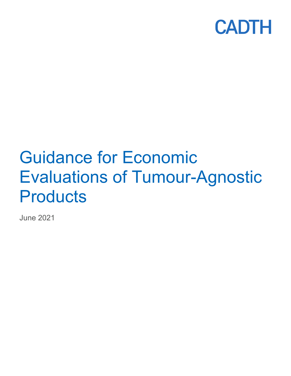

# Guidance for Economic Evaluations of Tumour-Agnostic **Products**

June 2021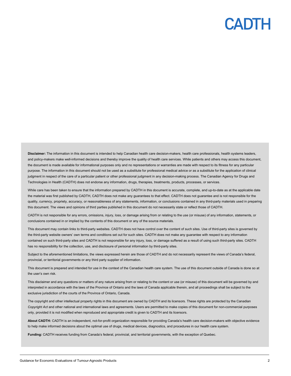**Disclaimer:** The information in this document is intended to help Canadian health care decision-makers, health care professionals, health systems leaders, and policy-makers make well-informed decisions and thereby improve the quality of health care services. While patients and others may access this document, the document is made available for informational purposes only and no representations or warranties are made with respect to its fitness for any particular purpose. The information in this document should not be used as a substitute for professional medical advice or as a substitute for the application of clinical judgment in respect of the care of a particular patient or other professional judgment in any decision-making process. The Canadian Agency for Drugs and Technologies in Health (CADTH) does not endorse any information, drugs, therapies, treatments, products, processes, or services.

While care has been taken to ensure that the information prepared by CADTH in this document is accurate, complete, and up-to-date as at the applicable date the material was first published by CADTH, CADTH does not make any guarantees to that effect. CADTH does not guarantee and is not responsible for the quality, currency, propriety, accuracy, or reasonableness of any statements, information, or conclusions contained in any third-party materials used in preparing this document. The views and opinions of third parties published in this document do not necessarily state or reflect those of CADTH.

CADTH is not responsible for any errors, omissions, injury, loss, or damage arising from or relating to the use (or misuse) of any information, statements, or conclusions contained in or implied by the contents of this document or any of the source materials.

This document may contain links to third-party websites. CADTH does not have control over the content of such sites. Use of third-party sites is governed by the third-party website owners' own terms and conditions set out for such sites. CADTH does not make any guarantee with respect to any information contained on such third-party sites and CADTH is not responsible for any injury, loss, or damage suffered as a result of using such third-party sites. CADTH has no responsibility for the collection, use, and disclosure of personal information by third-party sites.

Subject to the aforementioned limitations, the views expressed herein are those of CADTH and do not necessarily represent the views of Canada's federal, provincial, or territorial governments or any third party supplier of information.

This document is prepared and intended for use in the context of the Canadian health care system. The use of this document outside of Canada is done so at the user's own risk.

This disclaimer and any questions or matters of any nature arising from or relating to the content or use (or misuse) of this document will be governed by and interpreted in accordance with the laws of the Province of Ontario and the laws of Canada applicable therein, and all proceedings shall be subject to the exclusive jurisdiction of the courts of the Province of Ontario, Canada.

The copyright and other intellectual property rights in this document are owned by CADTH and its licensors. These rights are protected by the Canadian *Copyright Act* and other national and international laws and agreements. Users are permitted to make copies of this document for non-commercial purposes only, provided it is not modified when reproduced and appropriate credit is given to CADTH and its licensors.

**About CADTH:** CADTH is an independent, not-for-profit organization responsible for providing Canada's health care decision-makers with objective evidence to help make informed decisions about the optimal use of drugs, medical devices, diagnostics, and procedures in our health care system.

**Funding:** CADTH receives funding from Canada's federal, provincial, and territorial governments, with the exception of Quebec.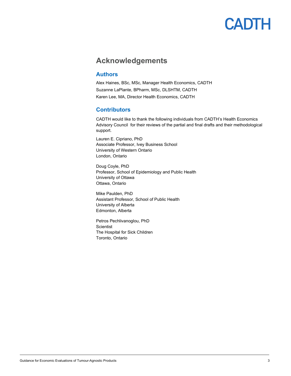### **Acknowledgements**

### **Authors**

Alex Haines, BSc, MSc, Manager Health Economics, CADTH Suzanne LaPlante, BPharm, MSc, DLSHTM, CADTH Karen Lee, MA, Director Health Economics, CADTH

### **Contributors**

CADTH would like to thank the following individuals from CADTH's Health Economics Advisory Council for their reviews of the partial and final drafts and their methodological support.

Lauren E. Cipriano, PhD Associate Professor, Ivey Business School University of Western Ontario London, Ontario

Doug Coyle, PhD Professor, School of Epidemiology and Public Health University of Ottawa Ottawa, Ontario

Mike Paulden, PhD Assistant Professor, School of Public Health University of Alberta Edmonton, Alberta

Petros Pechlivanoglou, PhD **Scientist** The Hospital for Sick Children Toronto, Ontario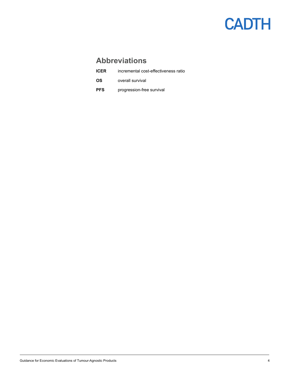### **Abbreviations**

| <b>ICER</b> | incremental cost-effectiveness ratio |
|-------------|--------------------------------------|
| OS.         | overall survival                     |
| <b>PFS</b>  | progression-free survival            |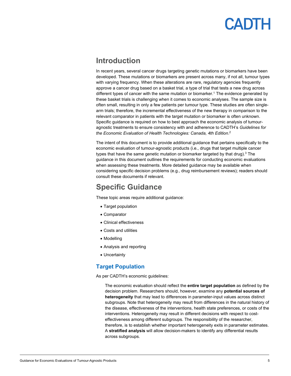### **Introduction**

In recent years, several cancer drugs targeting genetic mutations or biomarkers have been developed. These mutations or biomarkers are present across many, if not all, tumour types with varying frequency. When these alterations are rare, regulatory agencies frequently approve a cancer drug based on a basket trial, a type of trial that tests a new drug across different types of cancer with the same mutation or biomarker.<sup>1</sup> The evidence generated by these basket trials is challenging when it comes to economic analyses. The sample size is often small, resulting in only a few patients per tumour type. These studies are often singlearm trials; therefore, the incremental effectiveness of the new therapy in comparison to the relevant comparator in patients with the target mutation or biomarker is often unknown. Specific guidance is required on how to best approach the economic analysis of tumouragnostic treatments to ensure consistency with and adherence to CADTH's *Guidelines for the Economic Evaluation of Health Technologies: Canada, 4th Edition*. 2

The intent of this document is to provide additional guidance that pertains specifically to the economic evaluation of tumour-agnostic products (i.e., drugs that target multiple cancer types that have the same genetic mutation or biomarker targeted by that drug). <sup>3</sup> The guidance in this document outlines the requirements for conducting economic evaluations when assessing these treatments. More detailed guidance may be available when considering specific decision problems (e.g., drug reimbursement reviews); readers should consult these documents if relevant.

### **Specific Guidance**

These topic areas require additional guidance:

- Target population
- Comparator
- Clinical effectiveness
- Costs and utilities
- Modelling
- Analysis and reporting
- Uncertainty

### **Target Population**

As per CADTH's economic guidelines:

The economic evaluation should reflect the **entire target population** as defined by the decision problem. Researchers should, however, examine any **potential sources of heterogeneity** that may lead to differences in parameter-input values across distinct subgroups. Note that heterogeneity may result from differences in the natural history of the disease, effectiveness of the interventions, health state preferences, or costs of the interventions. Heterogeneity may result in different decisions with respect to costeffectiveness among different subgroups. The responsibility of the researcher, therefore, is to establish whether important heterogeneity exits in parameter estimates. A **stratified analysis** will allow decision-makers to identify any differential results across subgroups.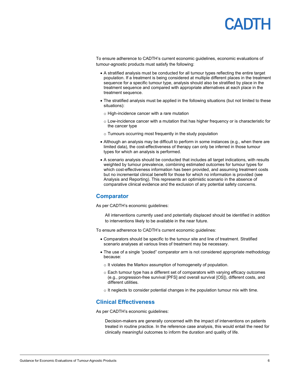# **ANIE**

To ensure adherence to CADTH's current economic guidelines, economic evaluations of tumour-agnostic products must satisfy the following:

- A stratified analysis must be conducted for all tumour types reflecting the entire target population. If a treatment is being considered at multiple different places in the treatment sequence for a specific tumour type, analysis should also be stratified by place in the treatment sequence and compared with appropriate alternatives at each place in the treatment sequence.
- The stratified analysis must be applied in the following situations (but not limited to these situations):
	- o High-incidence cancer with a rare mutation
	- $\circ$  Low-incidence cancer with a mutation that has higher frequency or is characteristic for the cancer type
	- o Tumours occurring most frequently in the study population
- Although an analysis may be difficult to perform in some instances (e.g., when there are limited data), the cost-effectiveness of therapy can only be inferred in those tumour types for which an analysis is performed.
- A scenario analysis should be conducted that includes all target indications, with results weighted by tumour prevalence, combining estimated outcomes for tumour types for which cost-effectiveness information has been provided, and assuming treatment costs but no incremental clinical benefit for those for which no information is provided (see Analysis and Reporting). This represents an optimistic scenario in the absence of comparative clinical evidence and the exclusion of any potential safety concerns.

#### **Comparator**

As per CADTH's economic guidelines:

All interventions currently used and potentially displaced should be identified in addition to interventions likely to be available in the near future.

To ensure adherence to CADTH's current economic guidelines:

- Comparators should be specific to the tumour site and line of treatment. Stratified scenario analyses at various lines of treatment may be necessary.
- The use of a single "pooled" comparator arm is not considered appropriate methodology because:
	- o It violates the Markov assumption of homogeneity of population.
	- $\circ$  Each tumour type has a different set of comparators with varying efficacy outcomes (e.g., progression-free survival [PFS] and overall survival [OS]), different costs, and different utilities.
	- $\circ$  It neglects to consider potential changes in the population tumour mix with time.

#### **Clinical Effectiveness**

As per CADTH's economic guidelines:

Decision-makers are generally concerned with the impact of interventions on patients treated in routine practice. In the reference case analysis, this would entail the need for clinically meaningful outcomes to inform the duration and quality of life.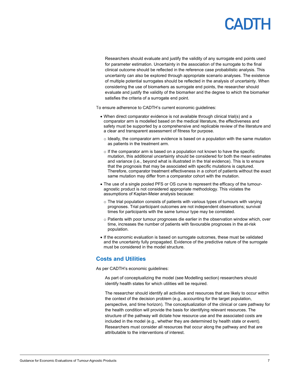# **ADIL**

Researchers should evaluate and justify the validity of any surrogate end points used for parameter estimation. Uncertainty in the association of the surrogate to the final clinical outcome should be reflected in the reference case probabilistic analysis. This uncertainty can also be explored through appropriate scenario analyses. The existence of multiple potential surrogates should be reflected in the analysis of uncertainty. When considering the use of biomarkers as surrogate end points, the researcher should evaluate and justify the validity of the biomarker and the degree to which the biomarker satisfies the criteria of a surrogate end point.

To ensure adherence to CADTH's current economic guidelines:

- When direct comparator evidence is not available through clinical trial(s) and a comparator arm is modelled based on the medical literature, the effectiveness and safety must be supported by a comprehensive and replicable review of the literature and a clear and transparent assessment of fitness for purpose.
	- $\circ$  Ideally, the comparator arm evidence is based on a population with the same mutation as patients in the treatment arm.
	- $\circ$  If the comparator arm is based on a population not known to have the specific mutation, this additional uncertainty should be considered for both the mean estimates and variance (i.e., beyond what is illustrated in the trial evidence). This is to ensure that the prognosis that may be associated with specific mutations is captured. Therefore, comparator treatment effectiveness in a cohort of patients without the exact same mutation may differ from a comparator cohort with the mutation.
- The use of a single pooled PFS or OS curve to represent the efficacy of the tumouragnostic product is not considered appropriate methodology. This violates the assumptions of Kaplan-Meier analysis because:
	- $\circ$  The trial population consists of patients with various types of tumours with varying prognoses. Trial participant outcomes are not independent observations; survival times for participants with the same tumour type may be correlated.
	- $\circ$  Patients with poor tumour prognoses die earlier in the observation window which, over time, increases the number of patients with favourable prognoses in the at-risk population.
- If the economic evaluation is based on surrogate outcomes, these must be validated and the uncertainty fully propagated. Evidence of the predictive nature of the surrogate must be considered in the model structure.

### **Costs and Utilities**

As per CADTH's economic guidelines:

As part of conceptualizing the model (see Modelling section) researchers should identify health states for which utilities will be required.

The researcher should identify all activities and resources that are likely to occur within the context of the decision problem (e.g., accounting for the target population, perspective, and time horizon). The conceptualization of the clinical or care pathway for the health condition will provide the basis for identifying relevant resources. The structure of the pathway will dictate how resource use and the associated costs are included in the model (e.g., whether they are determined by health state or event). Researchers must consider all resources that occur along the pathway and that are attributable to the interventions of interest.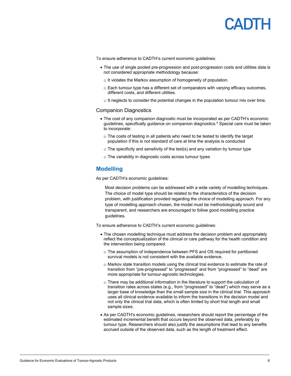# PANTH

To ensure adherence to CADTH's current economic guidelines:

- The use of single pooled pre-progression and post-progression costs and utilities data is not considered appropriate methodology because:
	- o It violates the Markov assumption of homogeneity of population.
	- $\circ$  Each tumour type has a different set of comparators with varying efficacy outcomes, different costs, and different utilities.
	- $\circ$  It neglects to consider the potential changes in the population tumour mix over time.

#### Companion Diagnostics

- The cost of any companion diagnostic must be incorporated as per CADTH's economic guidelines, specifically guidance on companion diagnostics.4 Special care must be taken to incorporate:
	- $\circ$  The costs of testing in all patients who need to be tested to identify the target population if this is not standard of care at time the analysis is conducted
	- $\circ$  The specificity and sensitivity of the test(s) and any variation by tumour type
	- o The variability in diagnostic costs across tumour types

#### **Modelling**

As per CADTH's economic guidelines:

Most decision problems can be addressed with a wide variety of modelling techniques. The choice of model type should be related to the characteristics of the decision problem, with justification provided regarding the choice of modelling approach. For any type of modelling approach chosen, the model must be methodologically sound and transparent, and researchers are encouraged to follow good modelling practice guidelines.

To ensure adherence to CADTH's current economic guidelines:

- The chosen modelling technique must address the decision problem and appropriately reflect the conceptualization of the clinical or care pathway for the health condition and the intervention being compared.
	- o The assumption of independence between PFS and OS required for partitioned survival models is not consistent with the available evidence.
	- $\circ$  Markov state transition models using the clinical trial evidence to estimate the rate of transition from "pre-progressed" to "progressed" and from "progressed" to "dead" are more appropriate for tumour-agnostic technologies.
	- $\circ$  There may be additional information in the literature to support the calculation of transition rates across states (e.g., from "progressed" to "dead") which may serve as a larger base of knowledge than the small sample size in the clinical trial. This approach uses all clinical evidence available to inform the transitions in the decision model and not only the clinical trial data, which is often limited by short trial length and small sample sizes.
- As per CADTH's economic guidelines, researchers should report the percentage of the estimated incremental benefit that occurs beyond the observed data, preferably by tumour type. Researchers should also justify the assumptions that lead to any benefits accrued outside of the observed data, such as the length of treatment effect.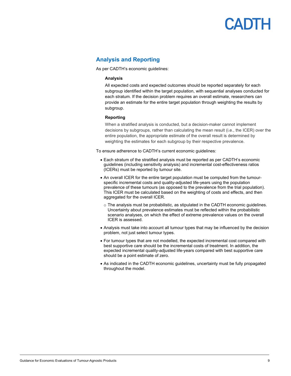# PADIE

### **Analysis and Reporting**

As per CADTH's economic guidelines:

#### **Analysis**

All expected costs and expected outcomes should be reported separately for each subgroup identified within the target population, with sequential analyses conducted for each stratum. If the decision problem requires an overall estimate, researchers can provide an estimate for the entire target population through weighting the results by subgroup.

#### **Reporting**

When a stratified analysis is conducted, but a decision-maker cannot implement decisions by subgroups, rather than calculating the mean result (i.e., the ICER) over the entire population, the appropriate estimate of the overall result is determined by weighting the estimates for each subgroup by their respective prevalence.

To ensure adherence to CADTH's current economic guidelines:

- Each stratum of the stratified analysis must be reported as per CADTH's economic guidelines (including sensitivity analysis) and incremental cost-effectiveness ratios (ICERs) must be reported by tumour site.
- An overall ICER for the entire target population must be computed from the tumourspecific incremental costs and quality-adjusted life-years using the population prevalence of these tumours (as opposed to the prevalence from the trial population). This ICER must be calculated based on the weighting of costs and effects, and then aggregated for the overall ICER.
	- $\circ$  The analysis must be probabilistic, as stipulated in the CADTH economic guidelines. Uncertainty about prevalence estimates must be reflected within the probabilistic scenario analyses, on which the effect of extreme prevalence values on the overall ICER is assessed.
- Analysis must take into account all tumour types that may be influenced by the decision problem, not just select tumour types.
- For tumour types that are not modelled, the expected incremental cost compared with best supportive care should be the incremental costs of treatment. In addition, the expected incremental quality-adjusted life-years compared with best supportive care should be a point estimate of zero.
- As indicated in the CADTH economic guidelines, uncertainty must be fully propagated throughout the model.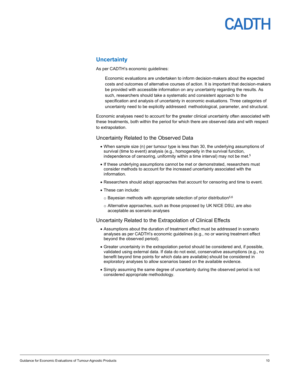# **PADTE**

### **Uncertainty**

As per CADTH's economic guidelines:

Economic evaluations are undertaken to inform decision-makers about the expected costs and outcomes of alternative courses of action. It is important that decision-makers be provided with accessible information on any uncertainty regarding the results. As such, researchers should take a systematic and consistent approach to the specification and analysis of uncertainty in economic evaluations. Three categories of uncertainty need to be explicitly addressed: methodological, parameter, and structural.

Economic analyses need to account for the greater clinical uncertainty often associated with these treatments, both within the period for which there are observed data and with respect to extrapolation.

#### Uncertainty Related to the Observed Data

- When sample size (n) per tumour type is less than 30, the underlying assumptions of survival (time to event) analysis (e.g., homogeneity in the survival function, independence of censoring, uniformity within a time interval) may not be met. $^{\rm 5}$
- If these underlying assumptions cannot be met or demonstrated, researchers must consider methods to account for the increased uncertainty associated with the information.
- Researchers should adopt approaches that account for censoring and time to event.
- These can include:
	- $\circ$  Bayesian methods with appropriate selection of prior distribution<sup>5,6</sup>
	- o Alternative approaches, such as those proposed by UK NICE DSU, are also acceptable as scenario analyses

#### Uncertainty Related to the Extrapolation of Clinical Effects

- Assumptions about the duration of treatment effect must be addressed in scenario analyses as per CADTH's economic guidelines (e.g., no or waning treatment effect beyond the observed period).
- Greater uncertainty in the extrapolation period should be considered and, if possible, validated using external data. If data do not exist, conservative assumptions (e.g., no benefit beyond time points for which data are available) should be considered in exploratory analyses to allow scenarios based on the available evidence.
- Simply assuming the same degree of uncertainty during the observed period is not considered appropriate methodology.